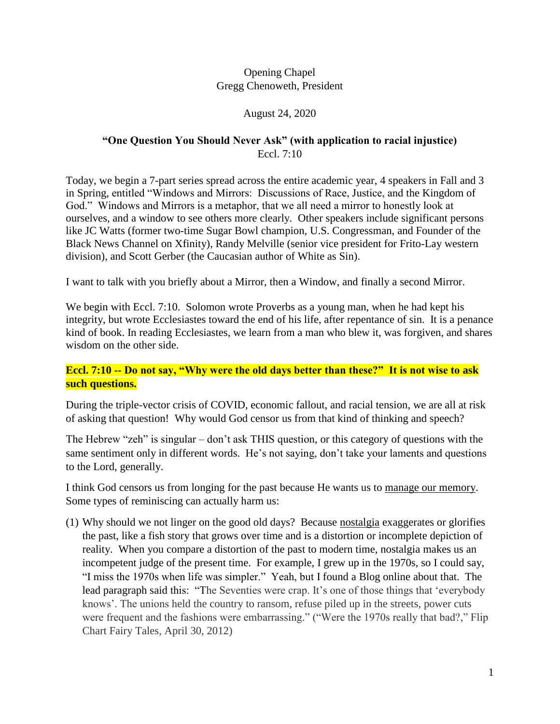## Opening Chapel Gregg Chenoweth, President

## August 24, 2020

## **"One Question You Should Never Ask" (with application to racial injustice)** Eccl. 7:10

Today, we begin a 7-part series spread across the entire academic year, 4 speakers in Fall and 3 in Spring, entitled "Windows and Mirrors: Discussions of Race, Justice, and the Kingdom of God." Windows and Mirrors is a metaphor, that we all need a mirror to honestly look at ourselves, and a window to see others more clearly. Other speakers include significant persons like JC Watts (former two-time Sugar Bowl champion, U.S. Congressman, and Founder of the Black News Channel on Xfinity), Randy Melville (senior vice president for Frito-Lay western division), and Scott Gerber (the Caucasian author of White as Sin).

I want to talk with you briefly about a Mirror, then a Window, and finally a second Mirror.

We begin with Eccl. 7:10. Solomon wrote Proverbs as a young man, when he had kept his integrity, but wrote Ecclesiastes toward the end of his life, after repentance of sin. It is a penance kind of book. In reading Ecclesiastes, we learn from a man who blew it, was forgiven, and shares wisdom on the other side.

## **Eccl. 7:10 -- Do not say, "Why were the old days better than these?" It is not wise to ask such questions.**

During the triple-vector crisis of COVID, economic fallout, and racial tension, we are all at risk of asking that question! Why would God censor us from that kind of thinking and speech?

The Hebrew "zeh" is singular – don't ask THIS question, or this category of questions with the same sentiment only in different words. He's not saying, don't take your laments and questions to the Lord, generally.

I think God censors us from longing for the past because He wants us to manage our memory. Some types of reminiscing can actually harm us:

(1) Why should we not linger on the good old days? Because nostalgia exaggerates or glorifies the past, like a fish story that grows over time and is a distortion or incomplete depiction of reality. When you compare a distortion of the past to modern time, nostalgia makes us an incompetent judge of the present time. For example, I grew up in the 1970s, so I could say, "I miss the 1970s when life was simpler." Yeah, but I found a Blog online about that. The lead paragraph said this: "The Seventies were crap. It's one of those things that 'everybody knows'. The unions held the country to ransom, refuse piled up in the streets, power cuts were frequent and the fashions were embarrassing." ("Were the 1970s really that bad?," Flip Chart Fairy Tales, April 30, 2012)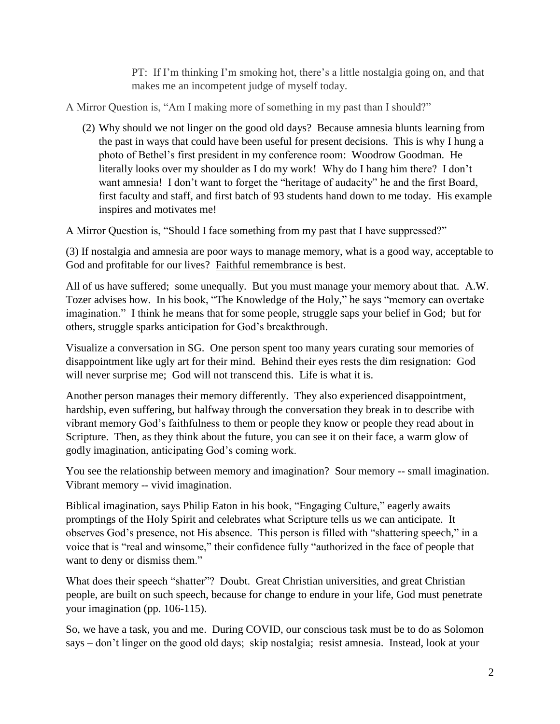PT: If I'm thinking I'm smoking hot, there's a little nostalgia going on, and that makes me an incompetent judge of myself today.

A Mirror Question is, "Am I making more of something in my past than I should?"

(2) Why should we not linger on the good old days? Because amnesia blunts learning from the past in ways that could have been useful for present decisions. This is why I hung a photo of Bethel's first president in my conference room: Woodrow Goodman. He literally looks over my shoulder as I do my work! Why do I hang him there? I don't want amnesia! I don't want to forget the "heritage of audacity" he and the first Board, first faculty and staff, and first batch of 93 students hand down to me today. His example inspires and motivates me!

A Mirror Question is, "Should I face something from my past that I have suppressed?"

(3) If nostalgia and amnesia are poor ways to manage memory, what is a good way, acceptable to God and profitable for our lives? Faithful remembrance is best.

All of us have suffered; some unequally. But you must manage your memory about that. A.W. Tozer advises how. In his book, "The Knowledge of the Holy," he says "memory can overtake imagination." I think he means that for some people, struggle saps your belief in God; but for others, struggle sparks anticipation for God's breakthrough.

Visualize a conversation in SG. One person spent too many years curating sour memories of disappointment like ugly art for their mind. Behind their eyes rests the dim resignation: God will never surprise me; God will not transcend this. Life is what it is.

Another person manages their memory differently. They also experienced disappointment, hardship, even suffering, but halfway through the conversation they break in to describe with vibrant memory God's faithfulness to them or people they know or people they read about in Scripture. Then, as they think about the future, you can see it on their face, a warm glow of godly imagination, anticipating God's coming work.

You see the relationship between memory and imagination? Sour memory -- small imagination. Vibrant memory -- vivid imagination.

Biblical imagination, says Philip Eaton in his book, "Engaging Culture," eagerly awaits promptings of the Holy Spirit and celebrates what Scripture tells us we can anticipate. It observes God's presence, not His absence. This person is filled with "shattering speech," in a voice that is "real and winsome," their confidence fully "authorized in the face of people that want to deny or dismiss them."

What does their speech "shatter"? Doubt. Great Christian universities, and great Christian people, are built on such speech, because for change to endure in your life, God must penetrate your imagination (pp. 106-115).

So, we have a task, you and me. During COVID, our conscious task must be to do as Solomon says – don't linger on the good old days; skip nostalgia; resist amnesia. Instead, look at your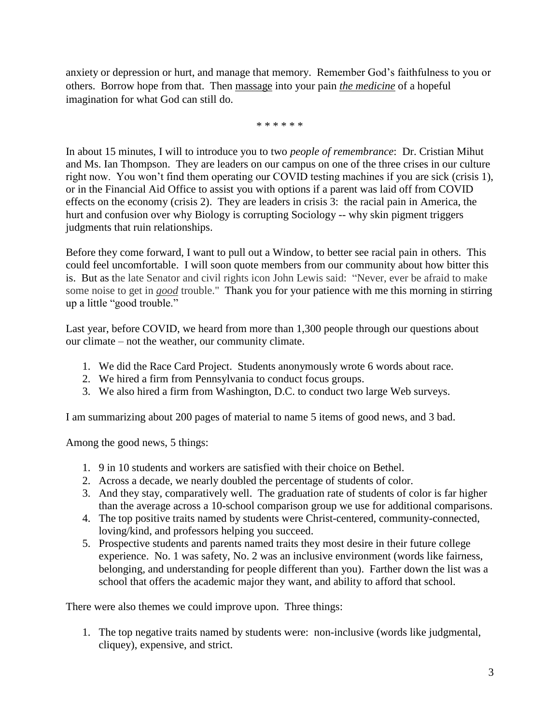anxiety or depression or hurt, and manage that memory. Remember God's faithfulness to you or others. Borrow hope from that. Then massage into your pain *the medicine* of a hopeful imagination for what God can still do.

\* \* \* \* \* \*

In about 15 minutes, I will to introduce you to two *people of remembrance*: Dr. Cristian Mihut and Ms. Ian Thompson. They are leaders on our campus on one of the three crises in our culture right now. You won't find them operating our COVID testing machines if you are sick (crisis 1), or in the Financial Aid Office to assist you with options if a parent was laid off from COVID effects on the economy (crisis 2). They are leaders in crisis 3: the racial pain in America, the hurt and confusion over why Biology is corrupting Sociology -- why skin pigment triggers judgments that ruin relationships.

Before they come forward, I want to pull out a Window, to better see racial pain in others. This could feel uncomfortable. I will soon quote members from our community about how bitter this is. But as the late Senator and civil rights icon John Lewis said: "Never, ever be afraid to make some noise to get in *good* trouble." Thank you for your patience with me this morning in stirring up a little "good trouble."

Last year, before COVID, we heard from more than 1,300 people through our questions about our climate – not the weather, our community climate.

- 1. We did the Race Card Project. Students anonymously wrote 6 words about race.
- 2. We hired a firm from Pennsylvania to conduct focus groups.
- 3. We also hired a firm from Washington, D.C. to conduct two large Web surveys.

I am summarizing about 200 pages of material to name 5 items of good news, and 3 bad.

Among the good news, 5 things:

- 1. 9 in 10 students and workers are satisfied with their choice on Bethel.
- 2. Across a decade, we nearly doubled the percentage of students of color.
- 3. And they stay, comparatively well. The graduation rate of students of color is far higher than the average across a 10-school comparison group we use for additional comparisons.
- 4. The top positive traits named by students were Christ-centered, community-connected, loving/kind, and professors helping you succeed.
- 5. Prospective students and parents named traits they most desire in their future college experience. No. 1 was safety, No. 2 was an inclusive environment (words like fairness, belonging, and understanding for people different than you). Farther down the list was a school that offers the academic major they want, and ability to afford that school.

There were also themes we could improve upon. Three things:

1. The top negative traits named by students were: non-inclusive (words like judgmental, cliquey), expensive, and strict.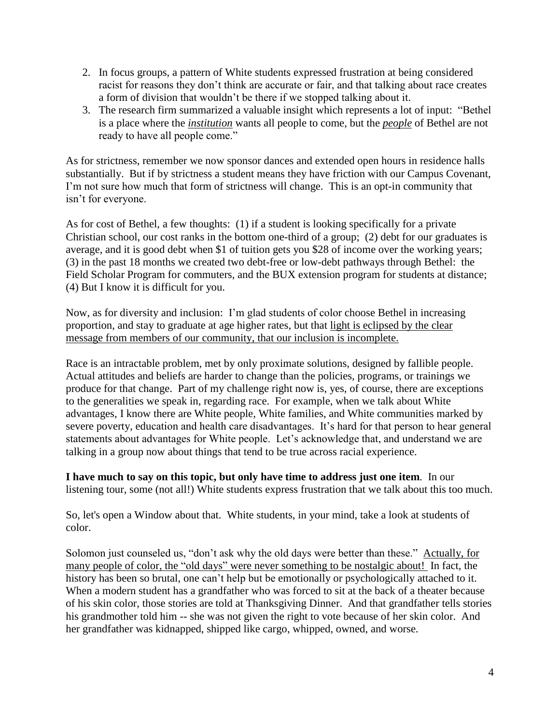- 2. In focus groups, a pattern of White students expressed frustration at being considered racist for reasons they don't think are accurate or fair, and that talking about race creates a form of division that wouldn't be there if we stopped talking about it.
- 3. The research firm summarized a valuable insight which represents a lot of input: "Bethel is a place where the *institution* wants all people to come, but the *people* of Bethel are not ready to have all people come."

As for strictness, remember we now sponsor dances and extended open hours in residence halls substantially. But if by strictness a student means they have friction with our Campus Covenant, I'm not sure how much that form of strictness will change. This is an opt-in community that isn't for everyone.

As for cost of Bethel, a few thoughts: (1) if a student is looking specifically for a private Christian school, our cost ranks in the bottom one-third of a group; (2) debt for our graduates is average, and it is good debt when \$1 of tuition gets you \$28 of income over the working years; (3) in the past 18 months we created two debt-free or low-debt pathways through Bethel: the Field Scholar Program for commuters, and the BUX extension program for students at distance; (4) But I know it is difficult for you.

Now, as for diversity and inclusion: I'm glad students of color choose Bethel in increasing proportion, and stay to graduate at age higher rates, but that light is eclipsed by the clear message from members of our community, that our inclusion is incomplete.

Race is an intractable problem, met by only proximate solutions, designed by fallible people. Actual attitudes and beliefs are harder to change than the policies, programs, or trainings we produce for that change. Part of my challenge right now is, yes, of course, there are exceptions to the generalities we speak in, regarding race. For example, when we talk about White advantages, I know there are White people, White families, and White communities marked by severe poverty, education and health care disadvantages. It's hard for that person to hear general statements about advantages for White people. Let's acknowledge that, and understand we are talking in a group now about things that tend to be true across racial experience.

**I have much to say on this topic, but only have time to address just one item**. In our listening tour, some (not all!) White students express frustration that we talk about this too much.

So, let's open a Window about that. White students, in your mind, take a look at students of color.

Solomon just counseled us, "don't ask why the old days were better than these." Actually, for many people of color, the "old days" were never something to be nostalgic about! In fact, the history has been so brutal, one can't help but be emotionally or psychologically attached to it. When a modern student has a grandfather who was forced to sit at the back of a theater because of his skin color, those stories are told at Thanksgiving Dinner. And that grandfather tells stories his grandmother told him -- she was not given the right to vote because of her skin color. And her grandfather was kidnapped, shipped like cargo, whipped, owned, and worse.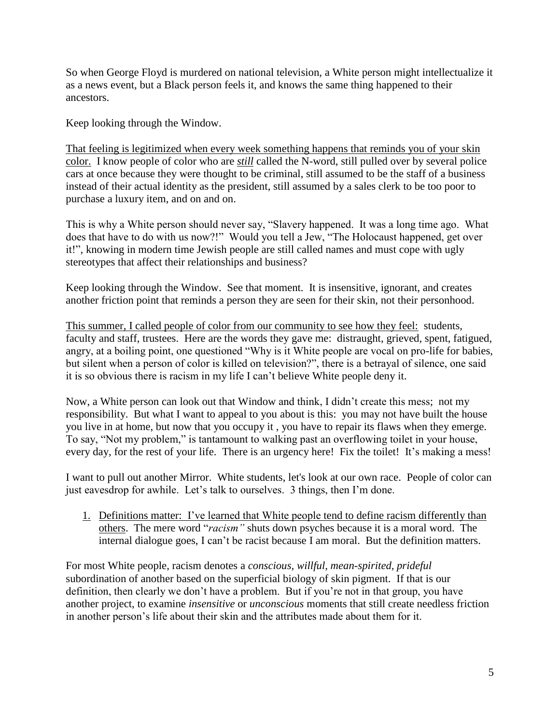So when George Floyd is murdered on national television, a White person might intellectualize it as a news event, but a Black person feels it, and knows the same thing happened to their ancestors.

Keep looking through the Window.

That feeling is legitimized when every week something happens that reminds you of your skin color. I know people of color who are *still* called the N-word, still pulled over by several police cars at once because they were thought to be criminal, still assumed to be the staff of a business instead of their actual identity as the president, still assumed by a sales clerk to be too poor to purchase a luxury item, and on and on.

This is why a White person should never say, "Slavery happened. It was a long time ago. What does that have to do with us now?!" Would you tell a Jew, "The Holocaust happened, get over it!", knowing in modern time Jewish people are still called names and must cope with ugly stereotypes that affect their relationships and business?

Keep looking through the Window. See that moment. It is insensitive, ignorant, and creates another friction point that reminds a person they are seen for their skin, not their personhood.

This summer, I called people of color from our community to see how they feel: students, faculty and staff, trustees. Here are the words they gave me: distraught, grieved, spent, fatigued, angry, at a boiling point, one questioned "Why is it White people are vocal on pro-life for babies, but silent when a person of color is killed on television?", there is a betrayal of silence, one said it is so obvious there is racism in my life I can't believe White people deny it.

Now, a White person can look out that Window and think, I didn't create this mess; not my responsibility. But what I want to appeal to you about is this: you may not have built the house you live in at home, but now that you occupy it , you have to repair its flaws when they emerge. To say, "Not my problem," is tantamount to walking past an overflowing toilet in your house, every day, for the rest of your life. There is an urgency here! Fix the toilet! It's making a mess!

I want to pull out another Mirror. White students, let's look at our own race. People of color can just eavesdrop for awhile. Let's talk to ourselves. 3 things, then I'm done.

1. Definitions matter: I've learned that White people tend to define racism differently than others. The mere word "*racism"* shuts down psyches because it is a moral word. The internal dialogue goes, I can't be racist because I am moral. But the definition matters.

For most White people, racism denotes a *conscious, willful, mean-spirited, prideful* subordination of another based on the superficial biology of skin pigment. If that is our definition, then clearly we don't have a problem. But if you're not in that group, you have another project, to examine *insensitive* or *unconscious* moments that still create needless friction in another person's life about their skin and the attributes made about them for it.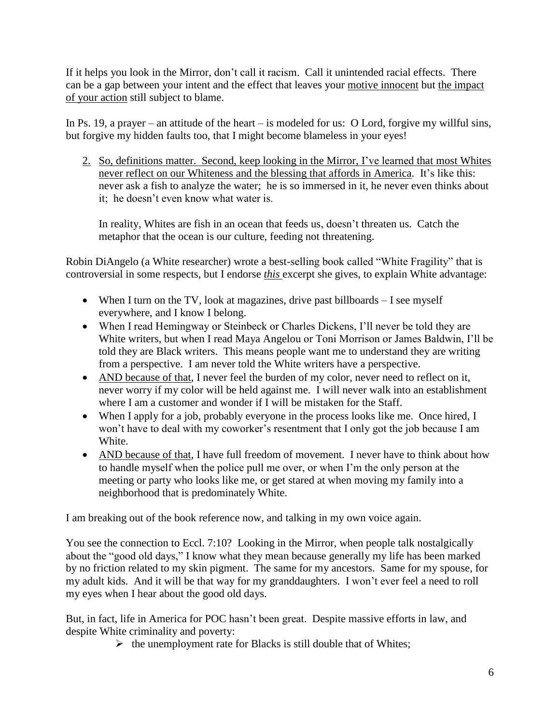If it helps you look in the Mirror, don't call it racism. Call it unintended racial effects. There can be a gap between your intent and the effect that leaves your motive innocent but the impact of your action still subject to blame.

In Ps. 19, a prayer – an attitude of the heart – is modeled for us: O Lord, forgive my willful sins, but forgive my hidden faults too, that I might become blameless in your eyes!

2. So, definitions matter. Second, keep looking in the Mirror, I've learned that most Whites never reflect on our Whiteness and the blessing that affords in America. It's like this: never ask a fish to analyze the water; he is so immersed in it, he never even thinks about it; he doesn't even know what water is.

In reality, Whites are fish in an ocean that feeds us, doesn't threaten us. Catch the metaphor that the ocean is our culture, feeding not threatening.

Robin DiAngelo (a White researcher) wrote a best-selling book called "White Fragility" that is controversial in some respects, but I endorse *this* excerpt she gives, to explain White advantage:

- When I turn on the TV, look at magazines, drive past billboards I see myself everywhere, and I know I belong.
- When I read Hemingway or Steinbeck or Charles Dickens, I'll never be told they are White writers, but when I read Maya Angelou or Toni Morrison or James Baldwin, I'll be told they are Black writers. This means people want me to understand they are writing from a perspective. I am never told the White writers have a perspective.
- AND because of that, I never feel the burden of my color, never need to reflect on it, never worry if my color will be held against me. I will never walk into an establishment where I am a customer and wonder if I will be mistaken for the Staff.
- When I apply for a job, probably everyone in the process looks like me. Once hired, I won't have to deal with my coworker's resentment that I only got the job because I am White.
- AND because of that, I have full freedom of movement. I never have to think about how to handle myself when the police pull me over, or when I'm the only person at the meeting or party who looks like me, or get stared at when moving my family into a neighborhood that is predominately White.

I am breaking out of the book reference now, and talking in my own voice again.

You see the connection to Eccl. 7:10? Looking in the Mirror, when people talk nostalgically about the "good old days," I know what they mean because generally my life has been marked by no friction related to my skin pigment. The same for my ancestors. Same for my spouse, for my adult kids. And it will be that way for my granddaughters. I won't ever feel a need to roll my eyes when I hear about the good old days.

But, in fact, life in America for POC hasn't been great. Despite massive efforts in law, and despite White criminality and poverty:

 $\triangleright$  the unemployment rate for Blacks is still double that of Whites;